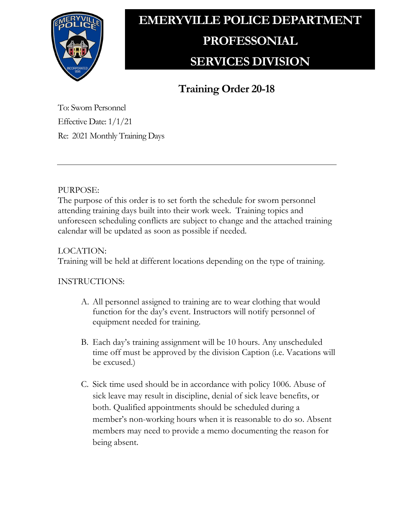

# **EMERYVILLE POLICE DEPARTMENT PROFESSONIAL SERVICES DIVISION**

## **Training Order 20-18**

To: Sworn Personnel Effective Date: 1/1/21 Re: 2021 Monthly Training Days

### PURPOSE:

The purpose of this order is to set forth the schedule for sworn personnel attending training days built into their work week. Training topics and unforeseen scheduling conflicts are subject to change and the attached training calendar will be updated as soon as possible if needed.

### LOCATION:

Training will be held at different locations depending on the type of training.

#### INSTRUCTIONS:

- A. All personnel assigned to training are to wear clothing that would function for the day's event. Instructors will notify personnel of equipment needed for training.
- B. Each day's training assignment will be 10 hours. Any unscheduled time off must be approved by the division Caption (i.e. Vacations will be excused.)
- C. Sick time used should be in accordance with policy 1006. Abuse of sick leave may result in discipline, denial of sick leave benefits, or both. Qualified appointments should be scheduled during a member's non-working hours when it is reasonable to do so. Absent members may need to provide a memo documenting the reason for being absent.